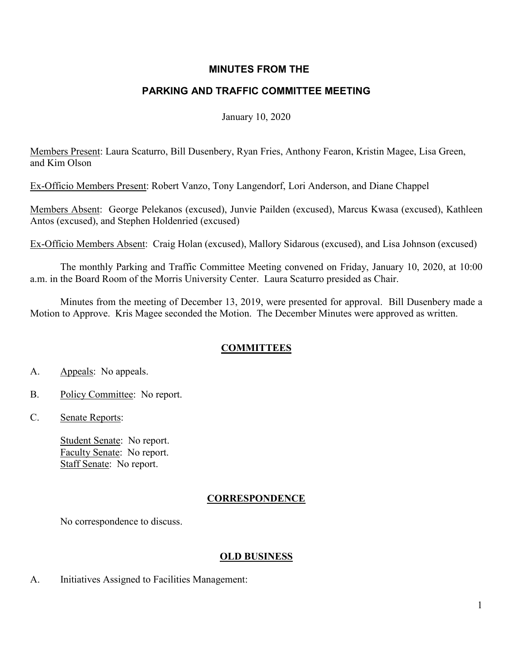## **MINUTES FROM THE**

# **PARKING AND TRAFFIC COMMITTEE MEETING**

January 10, 2020

Members Present: Laura Scaturro, Bill Dusenbery, Ryan Fries, Anthony Fearon, Kristin Magee, Lisa Green, and Kim Olson

Ex-Officio Members Present: Robert Vanzo, Tony Langendorf, Lori Anderson, and Diane Chappel

Members Absent: George Pelekanos (excused), Junvie Pailden (excused), Marcus Kwasa (excused), Kathleen Antos (excused), and Stephen Holdenried (excused)

Ex-Officio Members Absent: Craig Holan (excused), Mallory Sidarous (excused), and Lisa Johnson (excused)

The monthly Parking and Traffic Committee Meeting convened on Friday, January 10, 2020, at 10:00 a.m. in the Board Room of the Morris University Center. Laura Scaturro presided as Chair.

Minutes from the meeting of December 13, 2019, were presented for approval. Bill Dusenbery made a Motion to Approve. Kris Magee seconded the Motion. The December Minutes were approved as written.

## **COMMITTEES**

- A. Appeals: No appeals.
- B. Policy Committee: No report.
- C. Senate Reports:

Student Senate: No report. Faculty Senate: No report. Staff Senate: No report.

## **CORRESPONDENCE**

No correspondence to discuss.

## **OLD BUSINESS**

A. Initiatives Assigned to Facilities Management: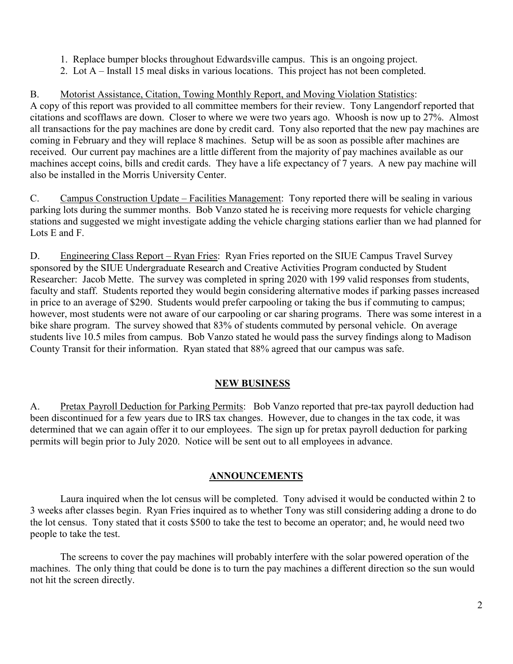- 1. Replace bumper blocks throughout Edwardsville campus. This is an ongoing project.
- 2. Lot A Install 15 meal disks in various locations. This project has not been completed.

B. Motorist Assistance, Citation, Towing Monthly Report, and Moving Violation Statistics:

A copy of this report was provided to all committee members for their review. Tony Langendorf reported that citations and scofflaws are down. Closer to where we were two years ago. Whoosh is now up to 27%. Almost all transactions for the pay machines are done by credit card. Tony also reported that the new pay machines are coming in February and they will replace 8 machines. Setup will be as soon as possible after machines are received. Our current pay machines are a little different from the majority of pay machines available as our machines accept coins, bills and credit cards. They have a life expectancy of 7 years. A new pay machine will also be installed in the Morris University Center.

C. Campus Construction Update – Facilities Management: Tony reported there will be sealing in various parking lots during the summer months. Bob Vanzo stated he is receiving more requests for vehicle charging stations and suggested we might investigate adding the vehicle charging stations earlier than we had planned for Lots E and F.

D. Engineering Class Report – Ryan Fries: Ryan Fries reported on the SIUE Campus Travel Survey sponsored by the SIUE Undergraduate Research and Creative Activities Program conducted by Student Researcher: Jacob Mette. The survey was completed in spring 2020 with 199 valid responses from students, faculty and staff. Students reported they would begin considering alternative modes if parking passes increased in price to an average of \$290. Students would prefer carpooling or taking the bus if commuting to campus; however, most students were not aware of our carpooling or car sharing programs. There was some interest in a bike share program. The survey showed that 83% of students commuted by personal vehicle. On average students live 10.5 miles from campus. Bob Vanzo stated he would pass the survey findings along to Madison County Transit for their information. Ryan stated that 88% agreed that our campus was safe.

#### **NEW BUSINESS**

A. Pretax Payroll Deduction for Parking Permits: Bob Vanzo reported that pre-tax payroll deduction had been discontinued for a few years due to IRS tax changes. However, due to changes in the tax code, it was determined that we can again offer it to our employees. The sign up for pretax payroll deduction for parking permits will begin prior to July 2020. Notice will be sent out to all employees in advance.

#### **ANNOUNCEMENTS**

Laura inquired when the lot census will be completed. Tony advised it would be conducted within 2 to 3 weeks after classes begin. Ryan Fries inquired as to whether Tony was still considering adding a drone to do the lot census. Tony stated that it costs \$500 to take the test to become an operator; and, he would need two people to take the test.

The screens to cover the pay machines will probably interfere with the solar powered operation of the machines. The only thing that could be done is to turn the pay machines a different direction so the sun would not hit the screen directly.